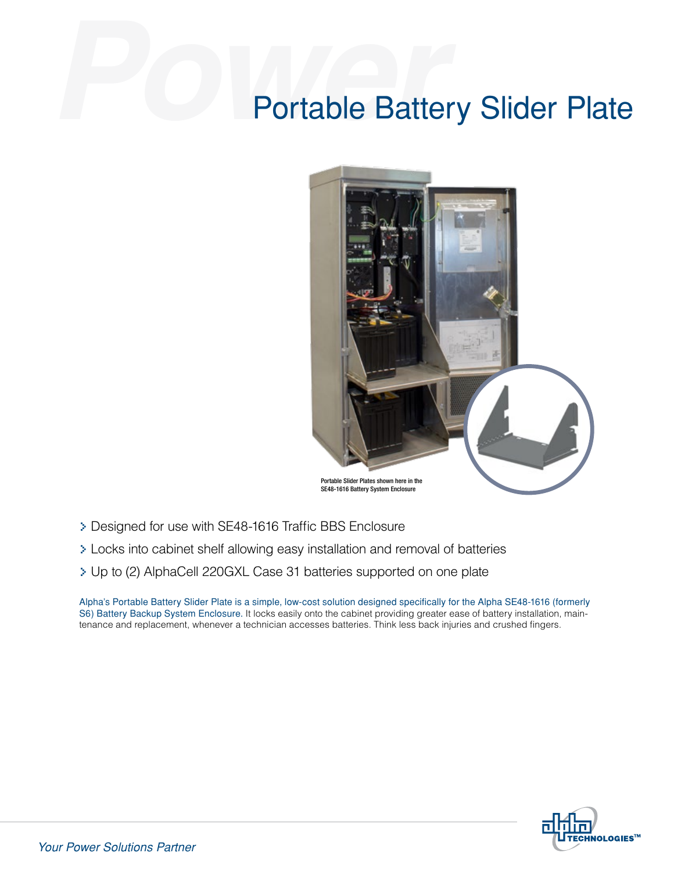## Portable Battery Slider Plate



- > Designed for use with SE48-1616 Traffic BBS Enclosure
- > Locks into cabinet shelf allowing easy installation and removal of batteries
- > Up to (2) AlphaCell 220GXL Case 31 batteries supported on one plate

Alpha's Portable Battery Slider Plate is a simple, low-cost solution designed specifically for the Alpha SE48-1616 (formerly S6) Battery Backup System Enclosure. It locks easily onto the cabinet providing greater ease of battery installation, maintenance and replacement, whenever a technician accesses batteries. Think less back injuries and crushed fingers.